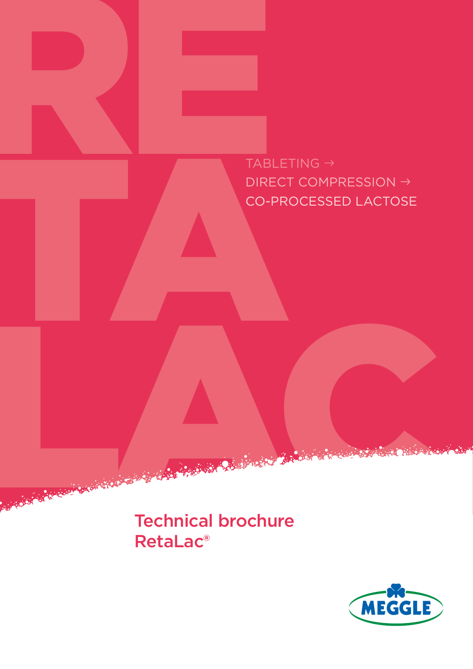RE TABLE<br>DIRECT<br>CO-PR TABLETING → DIRECT COMPRESSION → CO-PROCESSED LACTOSE

Technical brochure Technical brochure RetaLac®

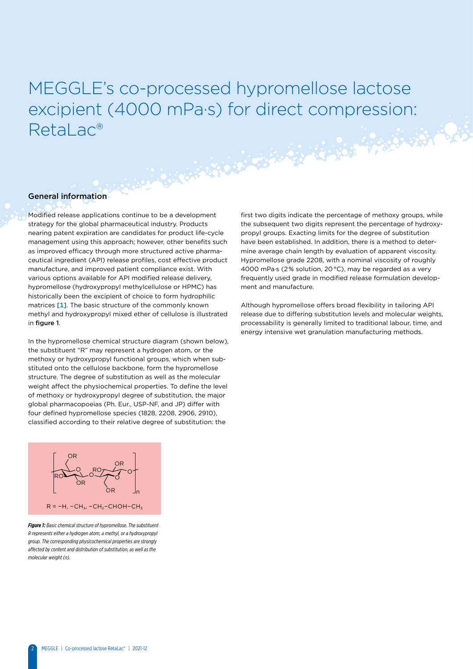# MEGGLE's co-processed hypromellose lactose excipient (4000 mPa∙s) for direct compression: Retal ac®

**Carried Branch** 

### General information

Modified release applications continue to be a development strategy for the global pharmaceutical industry. Products nearing patent expiration are candidates for product life-cycle management using this approach; however, other benefits such as improved efficacy through more structured active pharmaceutical ingredient (API) release profiles, cost effective product manufacture, and improved patient compliance exist. With various options available for API modified release delivery, hypromellose (hydroxypropyl methylcellulose or HPMC) has historically been the excipient of choice to form hydrophilic matrices [1]. The basic structure of the commonly known methyl and hydroxypropyl mixed ether of cellulose is illustrated in figure 1.

In the hypromellose chemical structure diagram (shown below), the substituent "R" may represent a hydrogen atom, or the methoxy or hydroxypropyl functional groups, which when substituted onto the cellulose backbone, form the hypromellose structure. The degree of substitution as well as the molecular weight affect the physiochemical properties. To define the level of methoxy or hydroxypropyl degree of substitution, the major global pharmacopoeias (Ph. Eur., USP-NF, and JP) differ with four defined hypromellose species (1828, 2208, 2906, 2910), classified according to their relative degree of substitution: the

first two digits indicate the percentage of methoxy groups, while the subsequent two digits represent the percentage of hydroxypropyl groups. Exacting limits for the degree of substitution have been established. In addition, there is a method to determine average chain length by evaluation of apparent viscosity. Hypromellose grade 2208, with a nominal viscosity of roughly 4000 mPa·s (2 % solution, 20 °C), may be regarded as a very frequently used grade in modified release formulation development and manufacture.

Although hypromellose offers broad flexibility in tailoring API release due to differing substitution levels and molecular weights, processability is generally limited to traditional labour, time, and energy intensive wet granulation manufacturing methods.



*Figure 1: Basic chemical structure of hypromellose. The substituent R represents either a hydrogen atom, a methyl, or a hydroxypropyl group. The corresponding physicochemical properties are strongly affected by content and distribution of substitution, as well as the molecular weight (n).*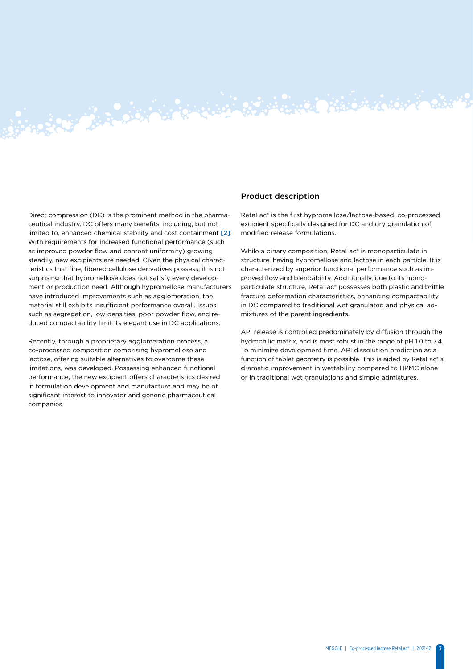Direct compression (DC) is the prominent method in the pharmaceutical industry. DC offers many benefits, including, but not limited to, enhanced chemical stability and cost containment [2]. With requirements for increased functional performance (such as improved powder flow and content uniformity) growing steadily, new excipients are needed. Given the physical characteristics that fine, fibered cellulose derivatives possess, it is not surprising that hypromellose does not satisfy every development or production need. Although hypromellose manufacturers have introduced improvements such as agglomeration, the material still exhibits insufficient performance overall. Issues such as segregation, low densities, poor powder flow, and reduced compactability limit its elegant use in DC applications.

Article 2007 - Article 2007 - Article 2007

Recently, through a proprietary agglomeration process, a co-processed composition comprising hypromellose and lactose, offering suitable alternatives to overcome these limitations, was developed. Possessing enhanced functional performance, the new excipient offers characteristics desired in formulation development and manufacture and may be of significant interest to innovator and generic pharmaceutical companies.

### Product description

RetaLac® is the first hypromellose/lactose-based, co-processed excipient specifically designed for DC and dry granulation of modified release formulations.

 $\ddot{\bullet}$ .  $\ddot{\bullet}$ .  $\ddot{\bullet}$ .  $\ddot{\bullet}$ .

While a binary composition, RetaLac® is monoparticulate in structure, having hypromellose and lactose in each particle. It is characterized by superior functional performance such as improved flow and blendability. Additionally, due to its monoparticulate structure, RetaLac® possesses both plastic and brittle fracture deformation characteristics, enhancing compactability in DC compared to traditional wet granulated and physical admixtures of the parent ingredients.

API release is controlled predominately by diffusion through the hydrophilic matrix, and is most robust in the range of pH 1.0 to 7.4. To minimize development time, API dissolution prediction as a function of tablet geometry is possible. This is aided by RetaLac®'s dramatic improvement in wettability compared to HPMC alone or in traditional wet granulations and simple admixtures.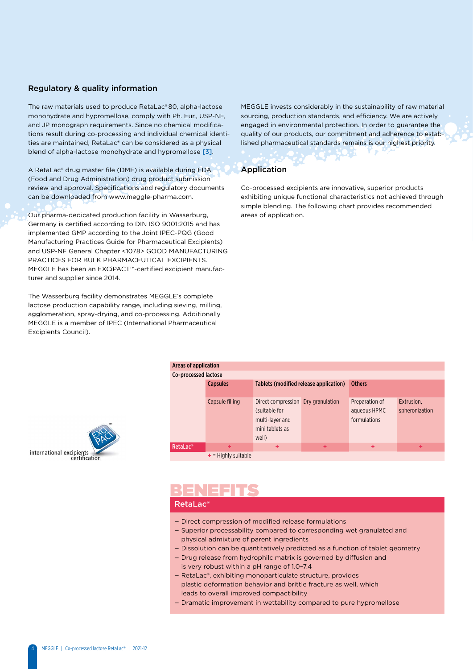### Regulatory & quality information

The raw materials used to produce RetaLac® 80, alpha-lactose monohydrate and hypromellose, comply with Ph. Eur., USP-NF, and JP monograph requirements. Since no chemical modifications result during co-processing and individual chemical identities are maintained, RetaLac® can be considered as a physical blend of alpha-lactose monohydrate and hypromellose [3].

A RetaLac® drug master file (DMF) is available during FDA (Food and Drug Administration) drug product submission review and approval. Specifications and regulatory documents can be downloaded from www.meggle-pharma.com.

Our pharma-dedicated production facility in Wasserburg, Germany is certified according to DIN ISO 9001:2015 and has implemented GMP according to the Joint IPEC-PQG (Good Manufacturing Practices Guide for Pharmaceutical Excipients) and USP-NF General Chapter <1078> GOOD MANUFACTURING PRACTICES FOR BULK PHARMACEUTICAL EXCIPIENTS. MEGGLE has been an EXCiPACT™-certified excipient manufacturer and supplier since 2014.

The Wasserburg facility demonstrates MEGGLE's complete lactose production capability range, including sieving, milling, agglomeration, spray-drying, and co-processing. Additionally MEGGLE is a member of IPEC (International Pharmaceutical Excipients Council).

MEGGLE invests considerably in the sustainability of raw material sourcing, production standards, and efficiency. We are actively engaged in environmental protection. In order to guarantee the quality of our products, our commitment and adherence to established pharmaceutical standards remains is our highest priority.

# Application

Co-processed excipients are innovative, superior products exhibiting unique functional characteristics not achieved through simple blending. The following chart provides recommended areas of application.

| Areas of application |                       |                                                                                                    |   |                                                |                              |  |  |  |
|----------------------|-----------------------|----------------------------------------------------------------------------------------------------|---|------------------------------------------------|------------------------------|--|--|--|
| Co-processed lactose |                       |                                                                                                    |   |                                                |                              |  |  |  |
|                      | <b>Capsules</b>       | Tablets (modified release application)                                                             |   | <b>Others</b>                                  |                              |  |  |  |
|                      | Capsule filling       | Direct compression Dry granulation<br>(suitable for<br>multi-layer and<br>mini tablets as<br>well) |   | Preparation of<br>aqueous HPMC<br>formulations | Extrusion,<br>spheronization |  |  |  |
| RetaLac <sup>®</sup> | ÷                     | ÷                                                                                                  | ÷ | ٠                                              | ÷                            |  |  |  |
|                      | $+$ = Highly suitable |                                                                                                    |   |                                                |                              |  |  |  |



# BENEFITS

## RetaLac®

- Direct compression of modified release formulations
- Superior processability compared to corresponding wet granulated and physical admixture of parent ingredients
- Dissolution can be quantitatively predicted as a function of tablet geometry
- Drug release from hydrophilc matrix is governed by diffusion and is very robust within a pH range of 1.0–7.4
- RetaLac®, exhibiting monoparticulate structure, provides plastic deformation behavior and brittle fracture as well, which leads to overall improved compactibility
- Dramatic improvement in wettability compared to pure hypromellose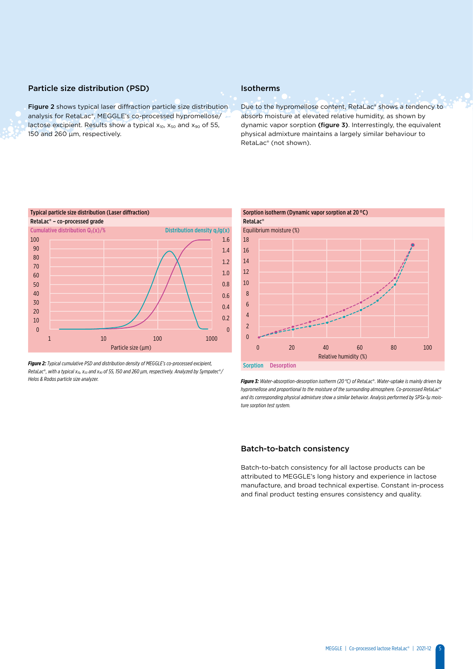### Particle size distribution (PSD)

Figure 2 shows typical laser diffraction particle size distribution analysis for RetaLac®, MEGGLE's co-processed hypromellose/ lactose excipient. Results show a typical  $x_{10}$ ,  $x_{50}$  and  $x_{90}$  of 55, 150 and 260 μm, respectively.

## Isotherms

Due to the hypromellose content, RetaLac® shows a tendency to absorb moisture at elevated relative humidity, as shown by dynamic vapor sorption (figure 3). Interrestingly, the equivalent physical admixture maintains a largely similar behaviour to RetaLac® (not shown).



*Figure 2: Typical cumulative PSD and distribution density of MEGGLE's co-processed excipient, RetaLac*®*, with a typical x10, x50 and x90 of 55, 150 and 260 µm, respectively. Analyzed by Sympatec*®*/ Helos & Rodos particle size analyzer.* 



*Figure 3: Water-absorption-desorption isotherm (20 °C) of RetaLac*®*. Water-uptake is mainly driven by hypromellose and proportional to the moisture of the surrounding atmosphere. Co-processed RetaLac*® *and its corresponding physical admixture show a similar behavior. Analysis performed by SPSx-1µ moisture sorption test system.* 

### Batch-to-batch consistency

Batch-to-batch consistency for all lactose products can be attributed to MEGGLE's long history and experience in lactose manufacture, and broad technical expertise. Constant in-process and final product testing ensures consistency and quality.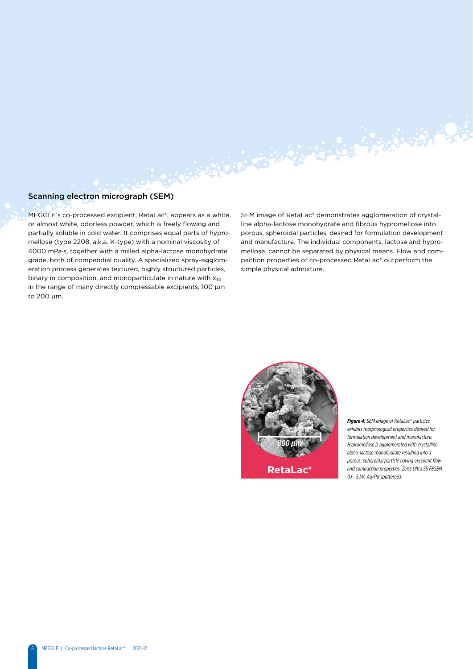## Scanning electron micrograph (SEM)

MEGGLE's co-processed excipient, RetaLac®, appears as a white, or almost white, odorless powder, which is freely flowing and partially soluble in cold water. It comprises equal parts of hypromellose (type 2208, a.k.a. K-type) with a nominal viscosity of 4000 mPa·s, together with a milled alpha-lactose monohydrate grade, both of compendial quality. A specialized spray-agglomeration process generates textured, highly structured particles, binary in composition, and monoparticulate in nature with  $x_{50}$ in the range of many directly compressable excipients, 100 µm to 200 µm.

SEM image of RetaLac® demonstrates agglomeration of crystalline alpha-lactose monohydrate and fibrous hypromellose into porous, spheroidal particles, desired for formulation development and manufacture. The individual components, lactose and hypromellose, cannot be separated by physical means. Flow and compaction properties of co-processed RetaLac® outperform the simple physical admixture.



ARTHUR COMPANY AND THE REAL PROPERTY

*Figure 4: SEM image of RetaLac*® *particles exhibits morphological properties desired for formulation development and manufacture. Hypromellose is agglomerated with crystalline alpha-lactose monohydrate resulting into a porous, spheroidal particle having excellent flow and compaction properties, Zeiss Ultra 55 FESEM (U = 5 kV; Au/Pd sputtered).*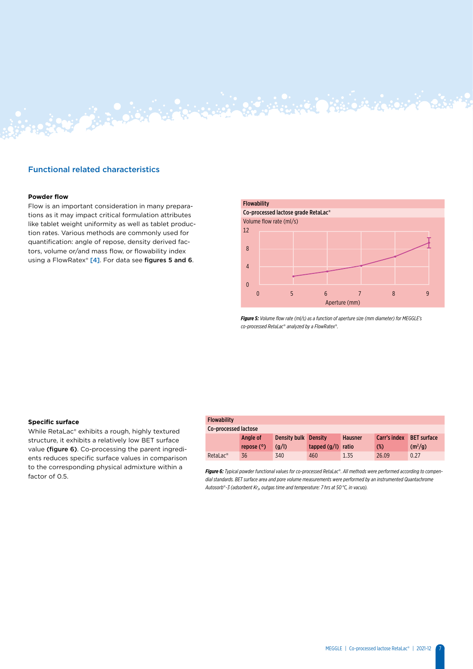### Functional related characteristics

### **Powder flow**

Flow is an important consideration in many preparations as it may impact critical formulation attributes like tablet weight uniformity as well as tablet production rates. Various methods are commonly used for quantification: angle of repose, density derived factors, volume or/and mass flow, or flowability index using a FlowRatex® [4]. For data see figures 5 and 6.

RANT BARCON STRAIGHT



*Figure 5: Volume flow rate (ml/s) as a function of aperture size (mm diameter) for MEGGLE's co-processed RetaLac*® *analyzed by a FlowRatex*®*.*

### **Specific surface**

While RetaLac® exhibits a rough, highly textured structure, it exhibits a relatively low BET surface value (figure 6). Co-processing the parent ingredients reduces specific surface values in comparison to the corresponding physical admixture within a factor of  $0.5$ 

### Flowability Co-processed lactose Angle of repose (°) Density bulk Density (g/l) tapped (g/l) ratio Hausner Carr's index (%) BET surface  $(m<sup>2</sup>/g)$ RetaLac® 36 340 460 1.35 26.09 0.27

*Figure 6: Typical powder functional values for co-processed RetaLac*®*. All methods were performed according to compendial standards. BET surface area and pore volume measurements were performed by an instrumented Quantachrome*  Autosorb®-3 (adsorbent Kr<sub>2</sub>, outgas time and temperature: 7 hrs at 50 °C, in vacuo).

7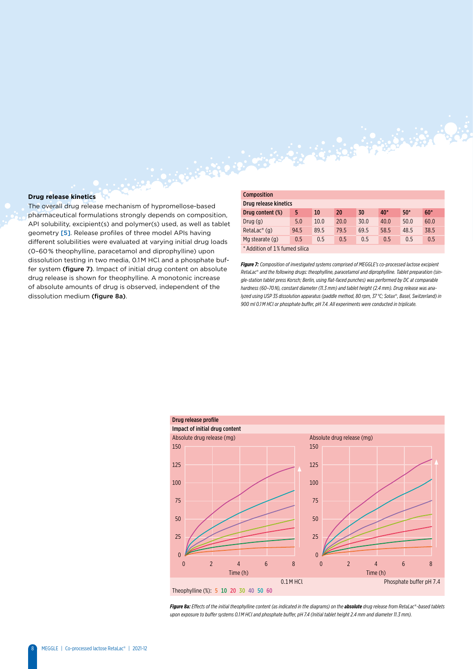### **Drug release kinetics**

The overall drug release mechanism of hypromellose-based pharmaceutical formulations strongly depends on composition, API solubility, excipient(s) and polymer(s) used, as well as tablet geometry [5]. Release profiles of three model APIs having different solubilities were evaluated at varying initial drug loads (0–60 % theophylline, paracetamol and diprophylline) upon dissolution testing in two media, 0.1 M HCl and a phosphate buffer system (figure 7). Impact of initial drug content on absolute drug release is shown for theophylline. A monotonic increase of absolute amounts of drug is observed, independent of the dissolution medium (figure 8a).

| <b>Composition</b>            |      |      |      |      |       |       |       |
|-------------------------------|------|------|------|------|-------|-------|-------|
| Drug release kinetics         |      |      |      |      |       |       |       |
| Drug content (%)              | 5    | 10   | 20   | 30   | $40*$ | $50*$ | $60*$ |
| Druq(q)                       | 5.0  | 10.0 | 20.0 | 30.0 | 40.0  | 50.0  | 60.0  |
| $Retalac^{\circledast}$ (q)   | 94.5 | 89.5 | 79.5 | 69.5 | 58.5  | 48.5  | 38.5  |
| Mg stearate (g)               | 0.5  | 0.5  | 0.5  | 0.5  | 0.5   | 0.5   | 0.5   |
| * Addition of 1% fumed silica |      |      |      |      |       |       |       |

AND OF THE PARTY OF THE PARTY

*Figure 7: Composition of investigated systems comprised of MEGGLE's co-processed lactose excipient RetaLac*® *and the following drugs: theophylline, paracetamol and diprophylline. Tablet preparation (single-station tablet press Korsch; Berlin, using flat-faced punches) was performed by DC at comparable hardness (60–70 N), constant diameter (11.3 mm) and tablet height (2.4 mm). Drug release was analyzed using USP 35 dissolution apparatus (paddle method, 80 rpm, 37 °C; Sotax*®*, Basel, Switzerland) in 900 ml 0.1 M HCl or phosphate buffer, pH 7.4. All experiments were conducted in triplicate.* 



**Figure 8a:** Effects of the initial theophylline content (as indicated in the diagrams) on the **absolute** drug release from RetaLac®-based tablets *upon exposure to buffer systems 0.1 M HCl and phosphate buffer, pH 7.4 (Initial tablet height 2.4 mm and diameter 11.3 mm).*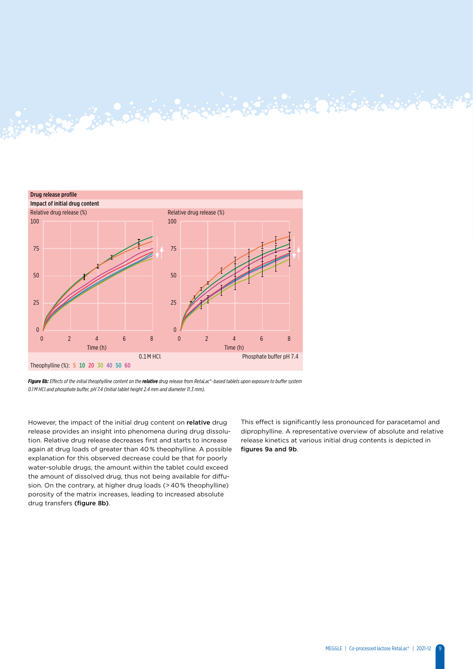

Resignation of the Company of the Company of the Company of the Company of the Company of the Company of the Company of

*Figure 8b: Effects of the initial theophylline content on the relative drug release from RetaLac*®*-based tablets upon exposure to buffer system 0.1 M HCl and phosphate buffer, pH 7.4 (Initial tablet height 2.4 mm and diameter 11.3 mm).*

However, the impact of the initial drug content on relative drug release provides an insight into phenomena during drug dissolution. Relative drug release decreases first and starts to increase again at drug loads of greater than 40 % theophylline. A possible explanation for this observed decrease could be that for poorly water-soluble drugs, the amount within the tablet could exceed the amount of dissolved drug, thus not being available for diffusion. On the contrary, at higher drug loads (> 40 % theophylline) porosity of the matrix increases, leading to increased absolute drug transfers (figure 8b).

This effect is significantly less pronounced for paracetamol and diprophylline. A representative overview of absolute and relative release kinetics at various initial drug contents is depicted in figures 9a and 9b.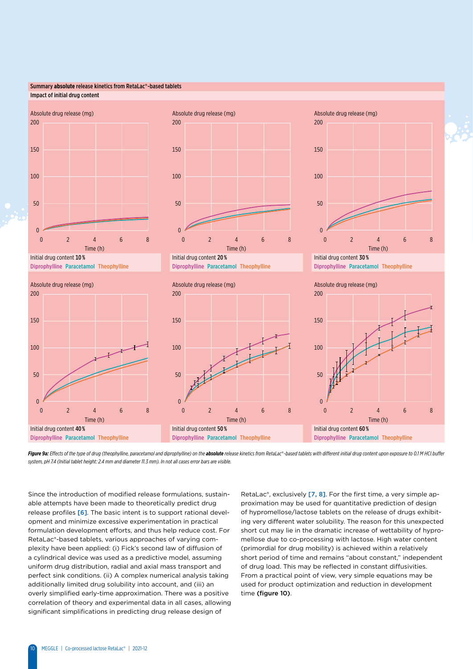### Summary **absolute** release kinetics from RetaLac®-based tablets Impact of initial drug content













Figure 9a: Effects of the type of drug (theophylline, paracetamol and diprophylline) on the absolute release kinetics from RetaLac®-based tablets with different initial drug content upon exposure to 0.1 M HCl buffer *system, pH 7.4 (Initial tablet height: 2.4 mm and diameter 11.3 mm). In not all cases error bars are visible.*

Since the introduction of modified release formulations, sustainable attempts have been made to theoretically predict drug release profiles [6]. The basic intent is to support rational development and minimize excessive experimentation in practical formulation development efforts, and thus help reduce cost. For RetaLac®-based tablets, various approaches of varying complexity have been applied: (i) Fick's second law of diffusion of a cylindrical device was used as a predictive model, assuming uniform drug distribution, radial and axial mass transport and perfect sink conditions. (ii) A complex numerical analysis taking additionally limited drug solubility into account, and (iii) an overly simplified early-time approximation. There was a positive correlation of theory and experimental data in all cases, allowing significant simplifications in predicting drug release design of

RetaLac®, exclusively [7, 8]. For the first time, a very simple approximation may be used for quantitative prediction of design of hypromellose/lactose tablets on the release of drugs exhibiting very different water solubility. The reason for this unexpected short cut may lie in the dramatic increase of wettability of hypromellose due to co-processing with lactose. High water content (primordial for drug mobility) is achieved within a relatively short period of time and remains "about constant," independent of drug load. This may be reflected in constant diffusivities. From a practical point of view, very simple equations may be used for product optimization and reduction in development time (figure 10).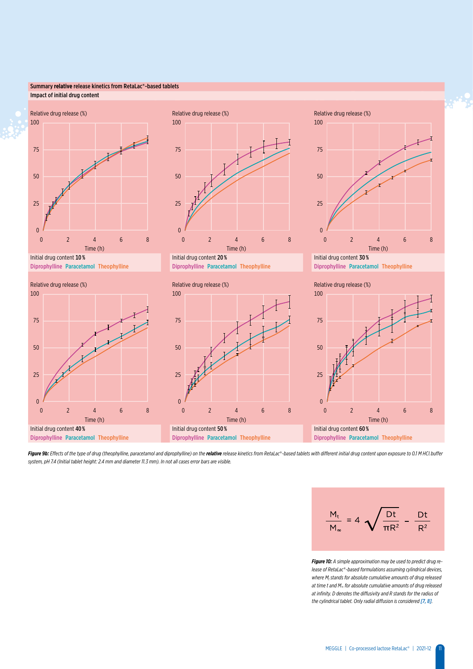### Summary **relative** release kinetics from RetaLac®-based tablets Impact of initial drug content



Diprophylline Paracetamol Theophylline Diprophylline Paracetamol Theophylline Diprophylline Paracetamol Theophylline











Figure 9b: Effects of the type of drug (theophylline, paracetamol and diprophylline) on the relative release kinetics from RetaLac®-based tablets with different initial drug content upon exposure to 0.1 M HCl buffer *system, pH 7.4 (Initial tablet height: 2.4 mm and diameter 11.3 mm). In not all cases error bars are visible.*



*Figure 10: A simple approximation may be used to predict drug release of RetaLac*®*-based formulations assuming cylindrical devices,*  where M<sub>t</sub> stands for absolute cumulative amounts of drug released *at time t and M*∞ *for absolute cumulative amounts of drug released at infinity. D denotes the diffusivity and R stands for the radius of the cylindrical tablet. Only radial diffusion is considered [7, 8].*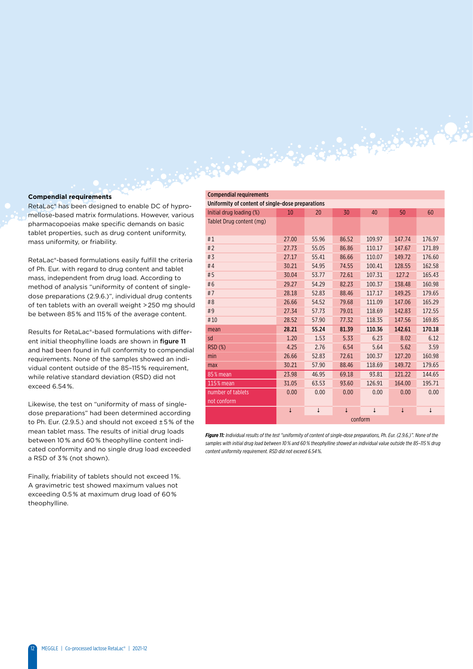### **Compendial requirements**

RetaLac® has been designed to enable DC of hypromellose-based matrix formulations. However, various pharmacopoeias make specific demands on basic tablet properties, such as drug content uniformity, mass uniformity, or friability.

RetaLac®-based formulations easily fulfill the criteria of Ph. Eur. with regard to drug content and tablet mass, independent from drug load. According to method of analysis "uniformity of content of singledose preparations (2.9.6.)", individual drug contents of ten tablets with an overall weight > 250 mg should be between 85 % and 115 % of the average content.

Results for RetaLac®-based formulations with different initial theophylline loads are shown in figure 11 and had been found in full conformity to compendial requirements. None of the samples showed an individual content outside of the 85–115 % requirement, while relative standard deviation (RSD) did not exceed 6.54 %.

Likewise, the test on "uniformity of mass of singledose preparations" had been determined according to Ph. Eur. (2.9.5.) and should not exceed ± 5 % of the mean tablet mass. The results of initial drug loads between 10 % and 60 % theophylline content indicated conformity and no single drug load exceeded a RSD of 3 % (not shown).

Finally, friability of tablets should not exceed 1 %. A gravimetric test showed maximum values not exceeding 0.5 % at maximum drug load of 60 % theophylline.

|                                    | <b>Compendial requirements</b>                    |         |              |       |              |        |              |  |  |
|------------------------------------|---------------------------------------------------|---------|--------------|-------|--------------|--------|--------------|--|--|
|                                    | Uniformity of content of single-dose preparations |         |              |       |              |        |              |  |  |
| of hypro-                          | Initial drug loading (%)                          | 10      | 20           | 30    | 40           | 50     | 60           |  |  |
| er, various<br>n basic<br>formity, | Tablet Drug content (mg)                          |         |              |       |              |        |              |  |  |
|                                    | #1                                                | 27.00   | 55.96        | 86.52 | 109.97       | 147.74 | 176.97       |  |  |
|                                    | # $2$                                             | 27.73   | 55.05        | 86.86 | 110.17       | 147.67 | 171.89       |  |  |
| he criteria                        | #3                                                | 27.17   | 55.41        | 86.66 | 110.07       | 149.72 | 176.60       |  |  |
| I tablet                           | # $4$                                             | 30.21   | 54.95        | 74.55 | 100.41       | 128.55 | 162.58       |  |  |
| ling to                            | #5                                                | 30.04   | 53.77        | 72.61 | 107.31       | 127.2  | 165.43       |  |  |
| of single-                         | #6                                                | 29.27   | 54.29        | 82.23 | 100.37       | 138.48 | 160.98       |  |  |
| contents                           | #7                                                | 28.18   | 52.83        | 88.46 | 117.17       | 149.25 | 179.65       |  |  |
| mg should                          | #8                                                | 26.66   | 54.52        | 79.68 | 111.09       | 147.06 | 165.29       |  |  |
| content.                           | #9                                                | 27.34   | 57.73        | 79.01 | 118.69       | 142.83 | 172.55       |  |  |
|                                    | #10                                               | 28.52   | 57.90        | 77.32 | 118.35       | 147.56 | 169.85       |  |  |
| ith differ-                        | mean                                              | 28.21   | 55.24        | 81.39 | 110.36       | 142.61 | 170.18       |  |  |
| igure 11                           | sd                                                | 1.20    | 1.53         | 5.33  | 6.23         | 8.02   | 6.12         |  |  |
| ompendial                          | <b>RSD (%)</b>                                    | 4.25    | 2.76         | 6.54  | 5.64         | 5.62   | 3.59         |  |  |
| d an indi-                         | min                                               | 26.66   | 52.83        | 72.61 | 100.37       | 127.20 | 160.98       |  |  |
| irement,                           | max                                               | 30.21   | 57.90        | 88.46 | 118.69       | 149.72 | 179.65       |  |  |
| l not                              | 85% mean                                          | 23.98   | 46.95        | 69.18 | 93.81        | 121.22 | 144.65       |  |  |
|                                    | 115 % mean                                        | 31.05   | 63.53        | 93.60 | 126.91       | 164.00 | 195.71       |  |  |
| f single-                          | number of tablets<br>not conform                  | 0.00    | 0.00         | 0.00  | 0.00         | 0.00   | 0.00         |  |  |
| <b>ccording</b>                    |                                                   |         | $\downarrow$ |       | $\downarrow$ |        | $\downarrow$ |  |  |
| $EQ$ of the                        |                                                   | conform |              |       |              |        |              |  |  |

*Figure 11: Individual results of the test "uniformity of content of single-dose preparations, Ph. Eur. (2.9.6.)". None of the samples with initial drug load between 10 % and 60 % theophylline showed an individual value outside the 85–115 % drug content uniformity requirement. RSD did not exceed 6.54 %.*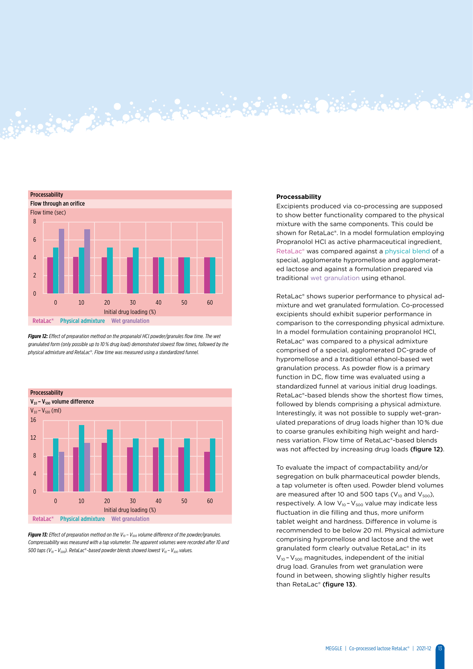

**BARBARA BERBERGERAK** 

*Figure 12: Effect of preparation method on the propanalol HCl powder/granules flow time. The wet granulated form (only possible up to 10 % drug load) demonstrated slowest flow times, followed by the physical admixture and RetaLac*®*. Flow time was measured using a standardized funnel.*



**Figure 13:** Effect of preparation method on the V<sub>10</sub> - V<sub>500</sub> volume difference of the powder/granules. *Compressability was measured with a tap volumeter. The apparent volumes were recorded after 10 and 500 taps (V10 – V500). RetaLac*®*-based powder blends showed lowest V10 – V500 values.*

### **Processability**

Excipients produced via co-processing are supposed to show better functionality compared to the physical mixture with the same components. This could be shown for RetaLac®. In a model formulation employing Propranolol HCl as active pharmaceutical ingredient, RetaLac® was compared against a physical blend of a special, agglomerate hypromellose and agglomerated lactose and against a formulation prepared via traditional wet granulation using ethanol.

RetaLac® shows superior performance to physical admixture and wet granulated formulation. Co-processed excipients should exhibit superior performance in comparison to the corresponding physical admixture. In a model formulation containing propranolol HCl, RetaLac® was compared to a physical admixture comprised of a special, agglomerated DC-grade of hypromellose and a traditional ethanol-based wet granulation process. As powder flow is a primary function in DC, flow time was evaluated using a standardized funnel at various initial drug loadings. RetaLac®-based blends show the shortest flow times, followed by blends comprising a physical admixture. Interestingly, it was not possible to supply wet-granulated preparations of drug loads higher than 10 % due to coarse granules exhibiting high weight and hardness variation. Flow time of RetaLac®-based blends was not affected by increasing drug loads (figure 12).

To evaluate the impact of compactability and/or segregation on bulk pharmaceutical powder blends, a tap volumeter is often used. Powder blend volumes are measured after 10 and 500 taps ( $V_{10}$  and  $V_{500}$ ), respectively. A low  $V_{10}$  -  $V_{500}$  value may indicate less fluctuation in die filling and thus, more uniform tablet weight and hardness. Difference in volume is recommended to be below 20 ml. Physical admixture comprising hypromellose and lactose and the wet granulated form clearly outvalue RetaLac® in its  $V_{10}$  -  $V_{500}$  magnitudes, independent of the initial drug load. Granules from wet granulation were found in between, showing slightly higher results than RetaLac® (figure 13).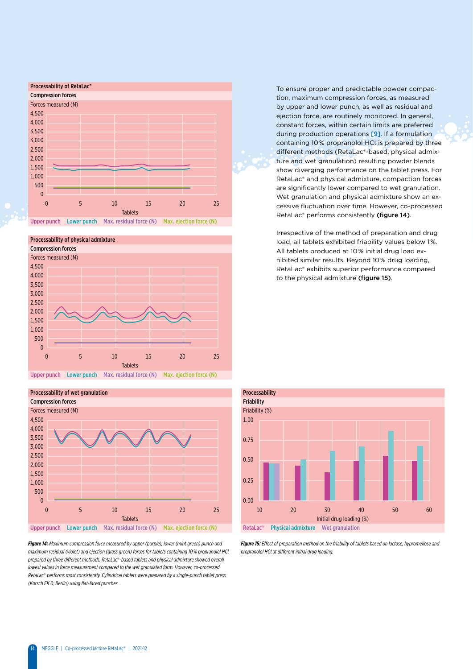



To ensure proper and predictable powder compaction, maximum compression forces, as measured by upper and lower punch, as well as residual and ejection force, are routinely monitored. In general, constant forces, within certain limits are preferred during production operations [9]. If a formulation containing 10 % propranolol HCl is prepared by three different methods (RetaLac®-based, physical admixture and wet granulation) resulting powder blends show diverging performance on the tablet press. For RetaLac® and physical admixture, compaction forces are significantly lower compared to wet granulation. Wet granulation and physical admixture show an excessive fluctuation over time. However, co-processed RetaLac® performs consistently (figure 14).

Irrespective of the method of preparation and drug load, all tablets exhibited friability values below 1%. All tablets produced at 10 % initial drug load exhibited similar results. Beyond 10 % drug loading, RetaLac® exhibits superior performance compared to the physical admixture (figure 15).



Upper punch Lower punch Max. residual force (N) Max. ejection force (N)

*Figure 14: Maximum compression force measured by upper (purple), lower (mint green) punch and maximum residual (violet) and ejection (grass green) forces for tablets containing 10 % propranolol HCl prepared by three different methods. RetaLac*®*-based tablets and physical admixture showed overall lowest values in force measurement compared to the wet granulated form. However, co-processed RetaLac*® *performs most consistently. Cylindrical tablets were prepared by a single-punch tablet press (Korsch EK 0; Berlin) using flat-faced punches.* 



*Figure 15: Effect of preparation method on the friability of tablets based on lactose, hypromellose and propranolol HCl at different initial drug loading.*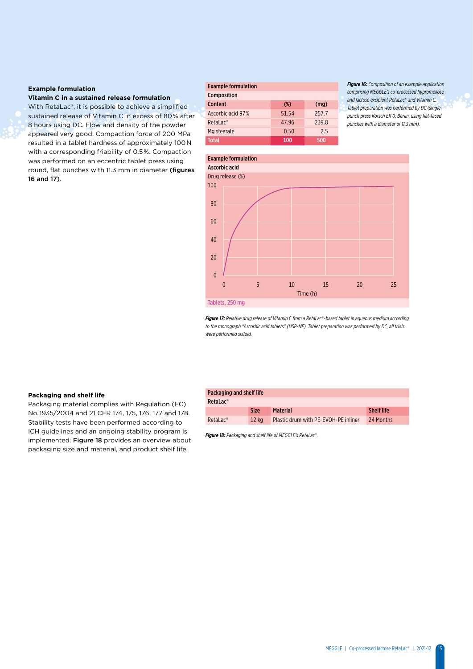### **Example formulation**

**Vitamin C in a sustained release formulation**

With RetaLac®, it is possible to achieve a simplified sustained release of Vitamin C in excess of 80 % after 8 hours using DC. Flow and density of the powder appeared very good. Compaction force of 200 MPa resulted in a tablet hardness of approximately 100 N with a corresponding friability of 0.5 %. Compaction was performed on an eccentric tablet press using round, flat punches with 11.3 mm in diameter (figures 16 and 17).

| <b>Example formulation</b> |        |       |  |  |  |
|----------------------------|--------|-------|--|--|--|
| Composition                |        |       |  |  |  |
| <b>Content</b>             | $(\%)$ | (mq)  |  |  |  |
| Ascorbic acid 97%          | 51.54  | 257.7 |  |  |  |
| $RetaLac^*$                | 47.96  | 239.8 |  |  |  |
| Mg stearate                | 0.50   | 2.5   |  |  |  |
| Total                      | 100    | 500   |  |  |  |

*Figure 16: Composition of an example application comprising MEGGLE's co-processed hypromellose and lactose excipient RetaLac*® *and Vitamin C. Tablet preparation was performed by DC (singlepunch press Korsch EK 0; Berlin, using flat-faced punches with a diameter of 11.3 mm).*



*Figure 17: Relative drug release of Vitamin C from a RetaLac*®*-based tablet in aqueous medium according to the monograph "Ascorbic acid tablets" (USP-NF). Tablet preparation was performed by DC, all trials were performed sixfold.* 

### **Packaging and shelf life**

Packaging material complies with Regulation (EC) No. 1935/2004 and 21 CFR 174, 175, 176, 177 and 178. Stability tests have been performed according to ICH guidelines and an ongoing stability program is implemented. Figure 18 provides an overview about packaging size and material, and product shelf life.

### Packaging and shelf life

| RetaLac <sup>®</sup>   |             |                                      |                   |
|------------------------|-------------|--------------------------------------|-------------------|
|                        | <b>Size</b> | <b>Material</b>                      | <b>Shelf life</b> |
| $Retalac$ <sup>®</sup> | 12 ka       | Plastic drum with PE-EVOH-PE inliner | 24 Months         |

*Figure 18: Packaging and shelf life of MEGGLE's RetaLac*®*.*